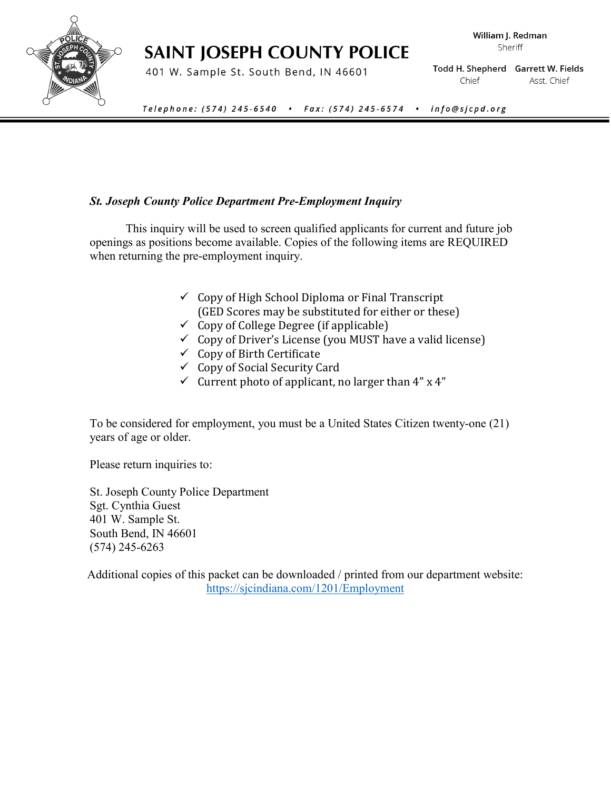# **SAINT JOSEPH COUNTY POLICE**

401 W. Sample St. South Bend, IN 46601

William J. Redman Sheriff

Todd H. Shepherd Garrett W. Fields Chief Asst. Chief

Telephone: (574) 245-6540 • Fax: (574) 245-6574 • info@sjcpd.org

### *St. Joseph County Police Department Pre-Employment Inquiry*

This inquiry will be used to screen qualified applicants for current and future job openings as positions become available. Copies of the following items are REQUIRED when returning the pre-employment inquiry.

- $\checkmark$  Copy of High School Diploma or Final Transcript (GED Scores may be substituted for either or these)
- $\checkmark$  Copy of College Degree (if applicable)
- $\checkmark$  Copy of Driver's License (you MUST have a valid license)
- $\checkmark$  Copy of Birth Certificate
- $\checkmark$  Copy of Social Security Card
- $\checkmark$  Current photo of applicant, no larger than 4" x 4"

To be considered for employment, you must be a United States Citizen twenty-one (21) years of age or older.

Please return inquiries to:

St. Joseph County Police Department Sgt. Cynthia Guest 401 W. Sample St. South Bend, IN 46601 (574) 245-6263

Additional copies of this packet can be downloaded / printed from our department website: <https://sjcindiana.com/1201/Employment>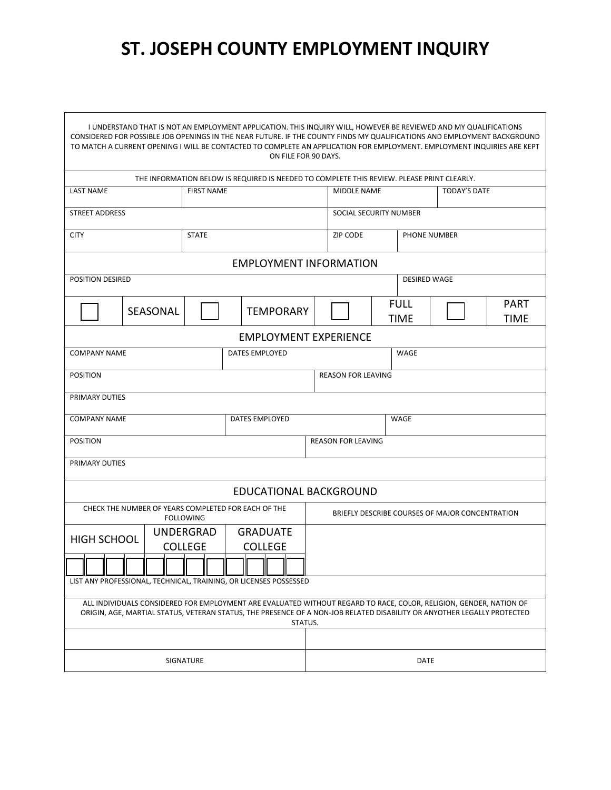# **ST. JOSEPH COUNTY EMPLOYMENT INQUIRY**

 $\overline{\phantom{0}}$ 

| I UNDERSTAND THAT IS NOT AN EMPLOYMENT APPLICATION. THIS INQUIRY WILL, HOWEVER BE REVIEWED AND MY QUALIFICATIONS<br>CONSIDERED FOR POSSIBLE JOB OPENINGS IN THE NEAR FUTURE. IF THE COUNTY FINDS MY QUALIFICATIONS AND EMPLOYMENT BACKGROUND<br>TO MATCH A CURRENT OPENING I WILL BE CONTACTED TO COMPLETE AN APPLICATION FOR EMPLOYMENT. EMPLOYMENT INQUIRIES ARE KEPT<br>ON FILE FOR 90 DAYS. |                                                                   |              |                              |                        |                                                 |  |                            |                     |                            |  |
|-------------------------------------------------------------------------------------------------------------------------------------------------------------------------------------------------------------------------------------------------------------------------------------------------------------------------------------------------------------------------------------------------|-------------------------------------------------------------------|--------------|------------------------------|------------------------|-------------------------------------------------|--|----------------------------|---------------------|----------------------------|--|
| THE INFORMATION BELOW IS REQUIRED IS NEEDED TO COMPLETE THIS REVIEW. PLEASE PRINT CLEARLY.                                                                                                                                                                                                                                                                                                      |                                                                   |              |                              |                        |                                                 |  |                            |                     |                            |  |
| <b>LAST NAME</b><br><b>FIRST NAME</b>                                                                                                                                                                                                                                                                                                                                                           |                                                                   |              |                              |                        | MIDDLE NAME                                     |  | <b>TODAY'S DATE</b>        |                     |                            |  |
| <b>STREET ADDRESS</b>                                                                                                                                                                                                                                                                                                                                                                           |                                                                   |              |                              | SOCIAL SECURITY NUMBER |                                                 |  |                            |                     |                            |  |
| <b>CITY</b>                                                                                                                                                                                                                                                                                                                                                                                     |                                                                   | <b>STATE</b> |                              |                        | <b>ZIP CODE</b>                                 |  |                            | <b>PHONE NUMBER</b> |                            |  |
| <b>EMPLOYMENT INFORMATION</b>                                                                                                                                                                                                                                                                                                                                                                   |                                                                   |              |                              |                        |                                                 |  |                            |                     |                            |  |
| POSITION DESIRED                                                                                                                                                                                                                                                                                                                                                                                |                                                                   |              |                              |                        |                                                 |  | <b>DESIRED WAGE</b>        |                     |                            |  |
|                                                                                                                                                                                                                                                                                                                                                                                                 | SEASONAL                                                          |              | <b>TEMPORARY</b>             |                        |                                                 |  | <b>FULL</b><br><b>TIME</b> |                     | <b>PART</b><br><b>TIME</b> |  |
|                                                                                                                                                                                                                                                                                                                                                                                                 |                                                                   |              | <b>EMPLOYMENT EXPERIENCE</b> |                        |                                                 |  |                            |                     |                            |  |
| <b>COMPANY NAME</b>                                                                                                                                                                                                                                                                                                                                                                             |                                                                   |              | <b>DATES EMPLOYED</b>        |                        | WAGE                                            |  |                            |                     |                            |  |
| <b>POSITION</b>                                                                                                                                                                                                                                                                                                                                                                                 |                                                                   |              |                              |                        | <b>REASON FOR LEAVING</b>                       |  |                            |                     |                            |  |
| PRIMARY DUTIES                                                                                                                                                                                                                                                                                                                                                                                  |                                                                   |              |                              |                        |                                                 |  |                            |                     |                            |  |
| <b>COMPANY NAME</b>                                                                                                                                                                                                                                                                                                                                                                             |                                                                   |              | DATES EMPLOYED               |                        | WAGE                                            |  |                            |                     |                            |  |
| <b>POSITION</b>                                                                                                                                                                                                                                                                                                                                                                                 |                                                                   |              | <b>REASON FOR LEAVING</b>    |                        |                                                 |  |                            |                     |                            |  |
| PRIMARY DUTIES                                                                                                                                                                                                                                                                                                                                                                                  |                                                                   |              |                              |                        |                                                 |  |                            |                     |                            |  |
|                                                                                                                                                                                                                                                                                                                                                                                                 |                                                                   |              | EDUCATIONAL BACKGROUND       |                        |                                                 |  |                            |                     |                            |  |
| CHECK THE NUMBER OF YEARS COMPLETED FOR EACH OF THE<br><b>FOLLOWING</b>                                                                                                                                                                                                                                                                                                                         |                                                                   |              |                              |                        | BRIEFLY DESCRIBE COURSES OF MAJOR CONCENTRATION |  |                            |                     |                            |  |
| <b>HIGH SCHOOL</b>                                                                                                                                                                                                                                                                                                                                                                              | <b>UNDERGRAD</b>                                                  |              | <b>GRADUATE</b>              |                        |                                                 |  |                            |                     |                            |  |
|                                                                                                                                                                                                                                                                                                                                                                                                 | <b>COLLEGE</b>                                                    |              | <b>COLLEGE</b>               |                        |                                                 |  |                            |                     |                            |  |
| ╥<br>╥                                                                                                                                                                                                                                                                                                                                                                                          |                                                                   |              | 115                          |                        |                                                 |  |                            |                     |                            |  |
|                                                                                                                                                                                                                                                                                                                                                                                                 | LIST ANY PROFESSIONAL, TECHNICAL, TRAINING, OR LICENSES POSSESSED |              |                              |                        |                                                 |  |                            |                     |                            |  |
| ALL INDIVIDUALS CONSIDERED FOR EMPLOYMENT ARE EVALUATED WITHOUT REGARD TO RACE, COLOR, RELIGION, GENDER, NATION OF<br>ORIGIN, AGE, MARTIAL STATUS, VETERAN STATUS, THE PRESENCE OF A NON-JOB RELATED DISABILITY OR ANYOTHER LEGALLY PROTECTED<br>STATUS.                                                                                                                                        |                                                                   |              |                              |                        |                                                 |  |                            |                     |                            |  |
|                                                                                                                                                                                                                                                                                                                                                                                                 |                                                                   |              |                              |                        |                                                 |  |                            |                     |                            |  |
| SIGNATURE                                                                                                                                                                                                                                                                                                                                                                                       |                                                                   |              |                              | DATE                   |                                                 |  |                            |                     |                            |  |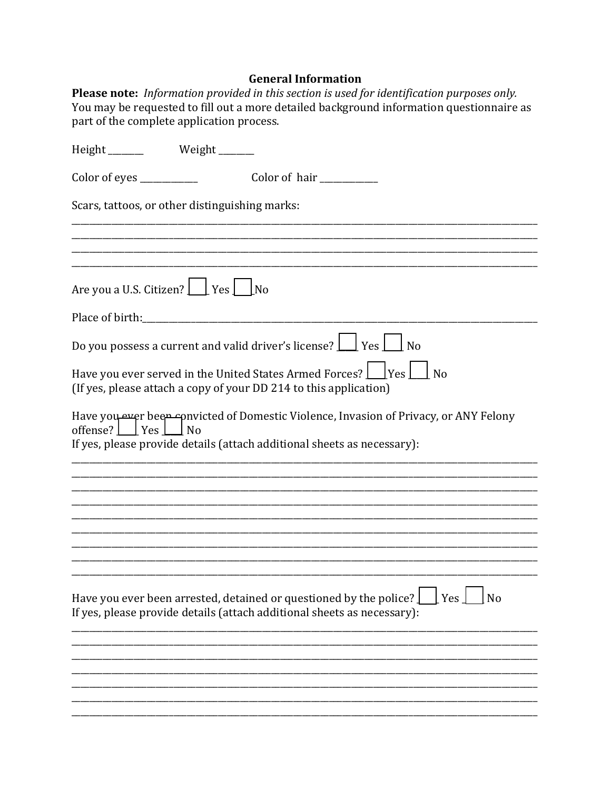# **General Information**

Please note: Information provided in this section is used for identification purposes only. You may be requested to fill out a more detailed background information questionnaire as part of the complete application process.

| Height ________ Weight ______                                                                                                                                                                 |
|-----------------------------------------------------------------------------------------------------------------------------------------------------------------------------------------------|
| Color of eyes ____________<br>Color of hair __________                                                                                                                                        |
| Scars, tattoos, or other distinguishing marks:                                                                                                                                                |
|                                                                                                                                                                                               |
|                                                                                                                                                                                               |
| Are you a U.S. Citizen?     Yes   No                                                                                                                                                          |
|                                                                                                                                                                                               |
| Do you possess a current and valid driver's license? $\boxed{\phantom{a}}$ Yes $\boxed{\phantom{a}}$ No                                                                                       |
| Have you ever served in the United States Armed Forces?     Yes     No<br>(If yes, please attach a copy of your DD 214 to this application)                                                   |
| Have you ever been convicted of Domestic Violence, Invasion of Privacy, or ANY Felony<br>offense?   $ $ Yes $ $ No<br>If yes, please provide details (attach additional sheets as necessary): |
|                                                                                                                                                                                               |
|                                                                                                                                                                                               |
|                                                                                                                                                                                               |
|                                                                                                                                                                                               |
|                                                                                                                                                                                               |
| Have you ever been arrested, detained or questioned by the police?<br>Yes<br>N <sub>o</sub><br>If yes, please provide details (attach additional sheets as necessary):                        |
|                                                                                                                                                                                               |
|                                                                                                                                                                                               |
|                                                                                                                                                                                               |
|                                                                                                                                                                                               |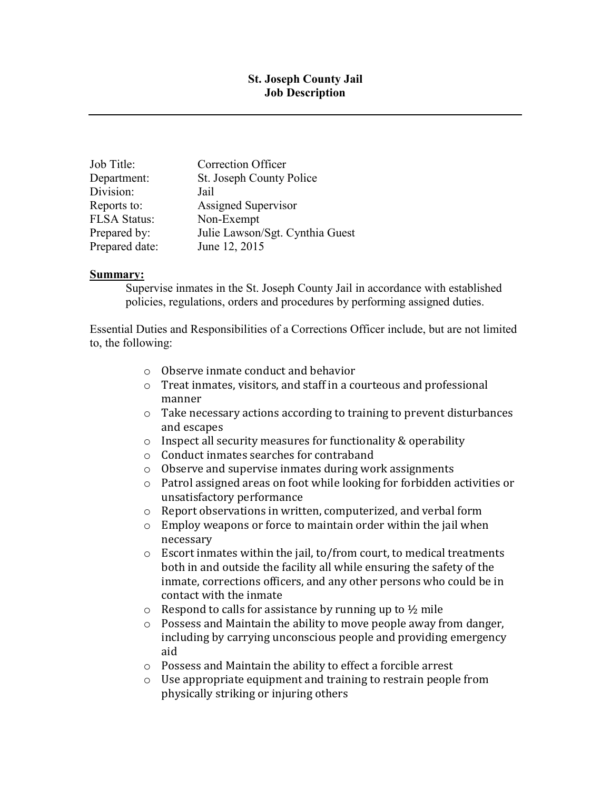## **St. Joseph County Jail Job Description**

| Job Title:     | <b>Correction Officer</b>       |
|----------------|---------------------------------|
| Department:    | St. Joseph County Police        |
| Division:      | Jail                            |
| Reports to:    | Assigned Supervisor             |
| FLSA Status:   | Non-Exempt                      |
| Prepared by:   | Julie Lawson/Sgt. Cynthia Guest |
| Prepared date: | June 12, 2015                   |

#### **Summary:**

Supervise inmates in the St. Joseph County Jail in accordance with established policies, regulations, orders and procedures by performing assigned duties.

Essential Duties and Responsibilities of a Corrections Officer include, but are not limited to, the following:

- o Observe inmate conduct and behavior
- o Treat inmates, visitors, and staff in a courteous and professional manner
- o Take necessary actions according to training to prevent disturbances and escapes
- o Inspect all security measures for functionality & operability
- o Conduct inmates searches for contraband
- o Observe and supervise inmates during work assignments
- o Patrol assigned areas on foot while looking for forbidden activities or unsatisfactory performance
- o Report observations in written, computerized, and verbal form
- o Employ weapons or force to maintain order within the jail when necessary
- o Escort inmates within the jail, to/from court, to medical treatments both in and outside the facility all while ensuring the safety of the inmate, corrections officers, and any other persons who could be in contact with the inmate
- $\circ$  Respond to calls for assistance by running up to  $\frac{1}{2}$  mile
- o Possess and Maintain the ability to move people away from danger, including by carrying unconscious people and providing emergency aid
- o Possess and Maintain the ability to effect a forcible arrest
- o Use appropriate equipment and training to restrain people from physically striking or injuring others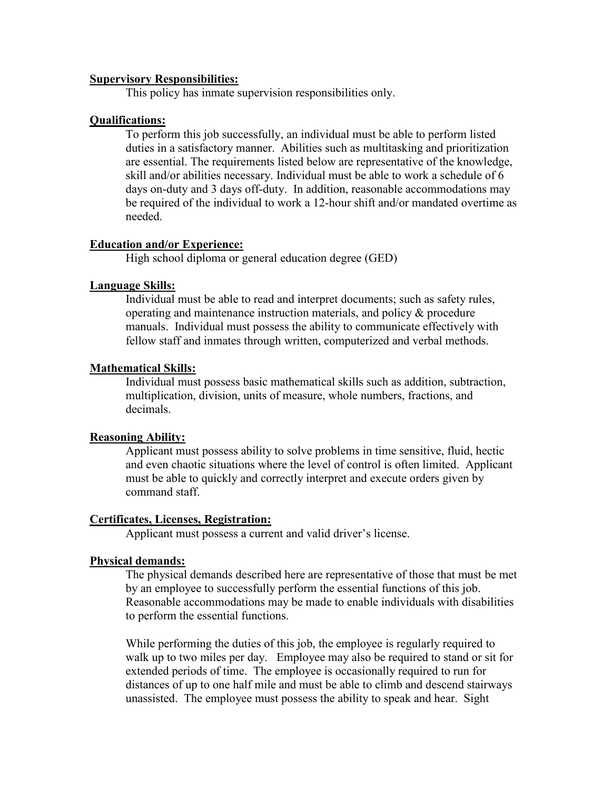#### **Supervisory Responsibilities:**

This policy has inmate supervision responsibilities only.

#### **Qualifications:**

To perform this job successfully, an individual must be able to perform listed duties in a satisfactory manner. Abilities such as multitasking and prioritization are essential. The requirements listed below are representative of the knowledge, skill and/or abilities necessary. Individual must be able to work a schedule of 6 days on-duty and 3 days off-duty. In addition, reasonable accommodations may be required of the individual to work a 12-hour shift and/or mandated overtime as needed.

#### **Education and/or Experience:**

High school diploma or general education degree (GED)

#### **Language Skills:**

Individual must be able to read and interpret documents; such as safety rules, operating and maintenance instruction materials, and policy & procedure manuals. Individual must possess the ability to communicate effectively with fellow staff and inmates through written, computerized and verbal methods.

#### **Mathematical Skills:**

Individual must possess basic mathematical skills such as addition, subtraction, multiplication, division, units of measure, whole numbers, fractions, and decimals.

#### **Reasoning Ability:**

Applicant must possess ability to solve problems in time sensitive, fluid, hectic and even chaotic situations where the level of control is often limited. Applicant must be able to quickly and correctly interpret and execute orders given by command staff.

#### **Certificates, Licenses, Registration:**

Applicant must possess a current and valid driver's license.

#### **Physical demands:**

The physical demands described here are representative of those that must be met by an employee to successfully perform the essential functions of this job. Reasonable accommodations may be made to enable individuals with disabilities to perform the essential functions.

While performing the duties of this job, the employee is regularly required to walk up to two miles per day. Employee may also be required to stand or sit for extended periods of time. The employee is occasionally required to run for distances of up to one half mile and must be able to climb and descend stairways unassisted. The employee must possess the ability to speak and hear. Sight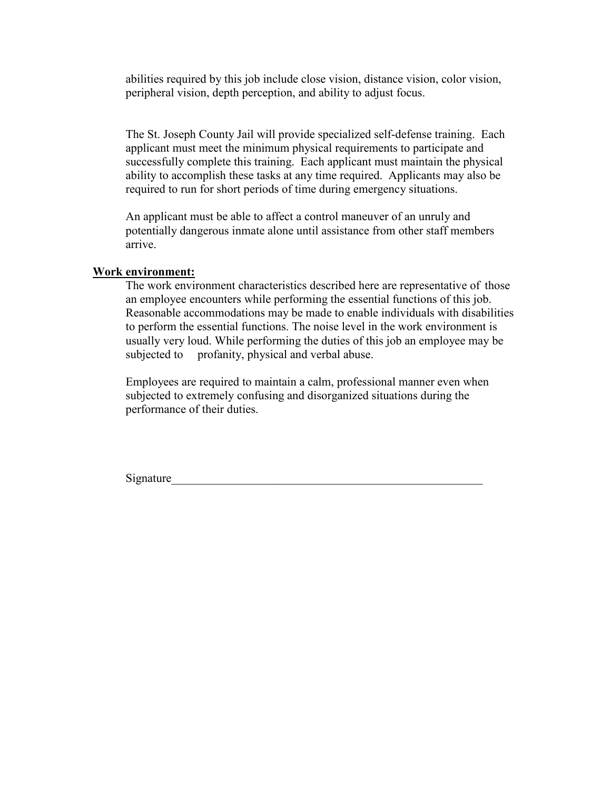abilities required by this job include close vision, distance vision, color vision, peripheral vision, depth perception, and ability to adjust focus.

The St. Joseph County Jail will provide specialized self-defense training. Each applicant must meet the minimum physical requirements to participate and successfully complete this training. Each applicant must maintain the physical ability to accomplish these tasks at any time required. Applicants may also be required to run for short periods of time during emergency situations.

An applicant must be able to affect a control maneuver of an unruly and potentially dangerous inmate alone until assistance from other staff members arrive.

#### **Work environment:**

The work environment characteristics described here are representative of those an employee encounters while performing the essential functions of this job. Reasonable accommodations may be made to enable individuals with disabilities to perform the essential functions. The noise level in the work environment is usually very loud. While performing the duties of this job an employee may be subjected to profanity, physical and verbal abuse.

Employees are required to maintain a calm, professional manner even when subjected to extremely confusing and disorganized situations during the performance of their duties.

Signature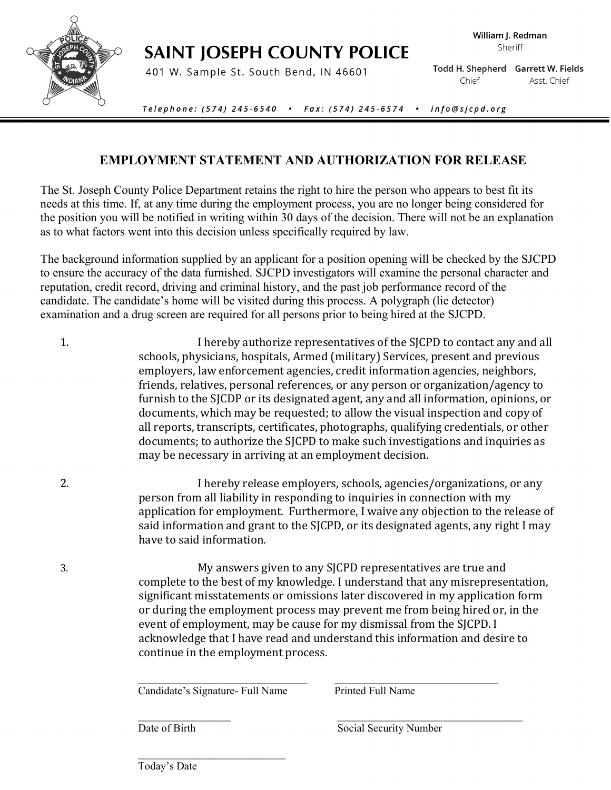

# **SAINT JOSEPH COUNTY POLICE**

401 W. Sample St. South Bend, IN 46601

Todd H. Shepherd Garrett W. Fields Chief Asst. Chief

Telephone: (574) 245-6540 .  $Fax: (574) 245-6574$  . info@sjcpd.org

# **EMPLOYMENT STATEMENT AND AUTHORIZATION FOR RELEASE**

The St. Joseph County Police Department retains the right to hire the person who appears to best fit its needs at this time. If, at any time during the employment process, you are no longer being considered for the position you will be notified in writing within 30 days of the decision. There will not be an explanation as to what factors went into this decision unless specifically required by law.

The background information supplied by an applicant for a position opening will be checked by the SJCPD to ensure the accuracy of the data furnished. SJCPD investigators will examine the personal character and reputation, credit record, driving and criminal history, and the past job performance record of the candidate. The candidate's home will be visited during this process. A polygraph (lie detector) examination and a drug screen are required for all persons prior to being hired at the SJCPD.

- 1. I hereby authorize representatives of the SJCPD to contact any and all schools, physicians, hospitals, Armed (military) Services, present and previous employers, law enforcement agencies, credit information agencies, neighbors, friends, relatives, personal references, or any person or organization/agency to furnish to the SJCDP or its designated agent, any and all information, opinions, or documents, which may be requested; to allow the visual inspection and copy of all reports, transcripts, certificates, photographs, qualifying credentials, or other documents; to authorize the SJCPD to make such investigations and inquiries as may be necessary in arriving at an employment decision.
- 2. I hereby release employers, schools, agencies/organizations, or any person from all liability in responding to inquiries in connection with my application for employment. Furthermore, I waive any objection to the release of said information and grant to the SJCPD, or its designated agents, any right I may have to said information.
- 3. My answers given to any SJCPD representatives are true and complete to the best of my knowledge. I understand that any misrepresentation, significant misstatements or omissions later discovered in my application form or during the employment process may prevent me from being hired or, in the event of employment, may be cause for my dismissal from the SJCPD. I acknowledge that I have read and understand this information and desire to continue in the employment process.

 $\mathcal{L}_\text{max} = \frac{1}{2} \sum_{i=1}^{n} \frac{1}{2} \sum_{i=1}^{n} \frac{1}{2} \sum_{i=1}^{n} \frac{1}{2} \sum_{i=1}^{n} \frac{1}{2} \sum_{i=1}^{n} \frac{1}{2} \sum_{i=1}^{n} \frac{1}{2} \sum_{i=1}^{n} \frac{1}{2} \sum_{i=1}^{n} \frac{1}{2} \sum_{i=1}^{n} \frac{1}{2} \sum_{i=1}^{n} \frac{1}{2} \sum_{i=1}^{n} \frac{1}{2} \sum_{i=1}^{n} \frac{1$ 

Candidate's Signature- Full Name Printed Full Name

 $\mathcal{L}_\text{max} = \frac{1}{2} \sum_{i=1}^{n} \frac{1}{2} \sum_{i=1}^{n} \frac{1}{2} \sum_{i=1}^{n} \frac{1}{2} \sum_{i=1}^{n} \frac{1}{2} \sum_{i=1}^{n} \frac{1}{2} \sum_{i=1}^{n} \frac{1}{2} \sum_{i=1}^{n} \frac{1}{2} \sum_{i=1}^{n} \frac{1}{2} \sum_{i=1}^{n} \frac{1}{2} \sum_{i=1}^{n} \frac{1}{2} \sum_{i=1}^{n} \frac{1}{2} \sum_{i=1}^{n} \frac{1$ 

Date of Birth Social Security Number

 $\overline{\phantom{a}}$  ,  $\overline{\phantom{a}}$  ,  $\overline{\phantom{a}}$  ,  $\overline{\phantom{a}}$  ,  $\overline{\phantom{a}}$  ,  $\overline{\phantom{a}}$  ,  $\overline{\phantom{a}}$  ,  $\overline{\phantom{a}}$  ,  $\overline{\phantom{a}}$  ,  $\overline{\phantom{a}}$  ,  $\overline{\phantom{a}}$  ,  $\overline{\phantom{a}}$  ,  $\overline{\phantom{a}}$  ,  $\overline{\phantom{a}}$  ,  $\overline{\phantom{a}}$  ,  $\overline{\phantom{a}}$ Today's Date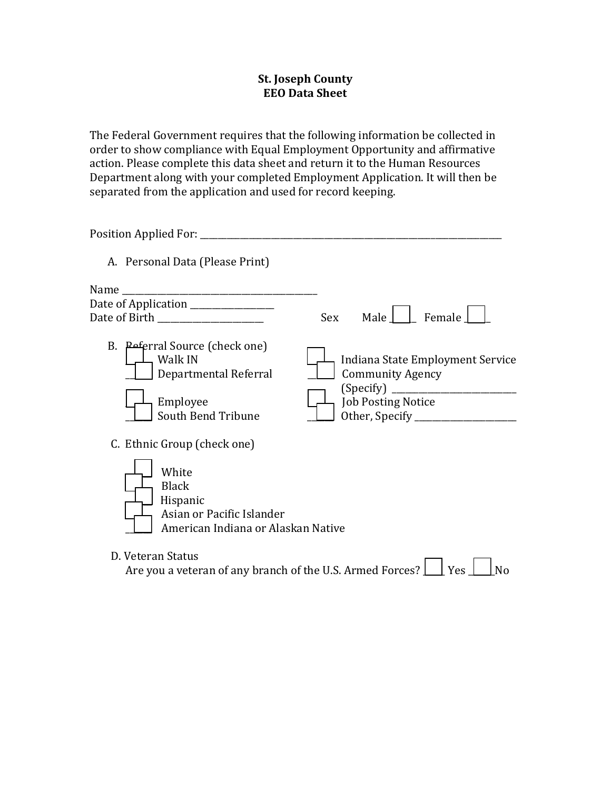# **St. Joseph County EEO Data Sheet**

The Federal Government requires that the following information be collected in order to show compliance with Equal Employment Opportunity and affirmative action. Please complete this data sheet and return it to the Human Resources Department along with your completed Employment Application. It will then be separated from the application and used for record keeping.

| A. Personal Data (Please Print)                                                                                                     |                                                                                                                   |
|-------------------------------------------------------------------------------------------------------------------------------------|-------------------------------------------------------------------------------------------------------------------|
| Name                                                                                                                                |                                                                                                                   |
| Date of Application _____________<br>Date of Birth __________________                                                               | Female<br>Male  <br><b>Sex</b>                                                                                    |
| B. Peferral Source (check one)<br>Walk IN<br>Departmental Referral<br>Employee<br>South Bend Tribune                                | Indiana State Employment Service<br><b>Community Agency</b><br><b>Job Posting Notice</b><br>Other, Specify ______ |
| C. Ethnic Group (check one)<br>White<br><b>Black</b><br>Hispanic<br>Asian or Pacific Islander<br>American Indiana or Alaskan Native |                                                                                                                   |
| D. Veteran Status<br>Are you a veteran of any branch of the U.S. Armed Forces?                                                      | Yes<br>N٥                                                                                                         |